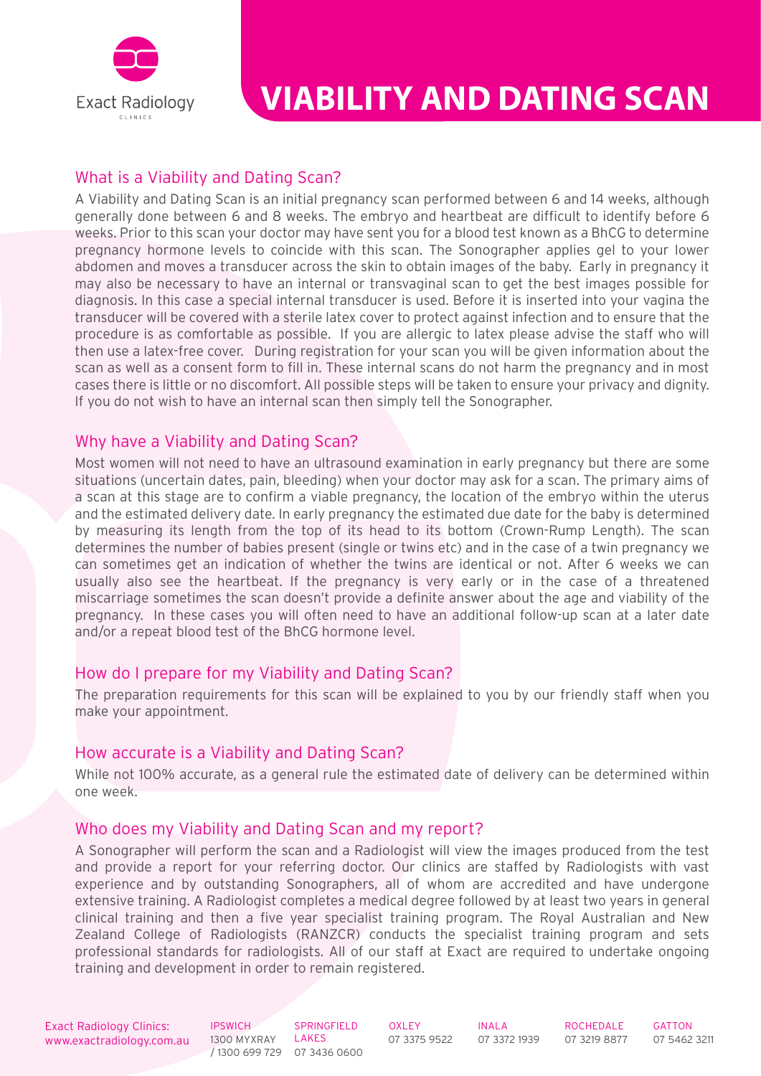

# **VIABILITY AND DATING SCAN**

## What is a Viability and Dating Scan?

A Viability and Dating Scan is an initial pregnancy scan performed between 6 and 14 weeks, although generally done between 6 and 8 weeks. The embryo and heartbeat are difficult to identify before 6 weeks. Prior to this scan your doctor may have sent you for a blood test known as a BhCG to determine pregnancy hormone levels to coincide with this scan. The Sonographer applies gel to your lower abdomen and moves a transducer across the skin to obtain images of the baby. Early in pregnancy it may also be necessary to have an internal or transvaginal scan to get the best images possible for diagnosis. In this case a special internal transducer is used. Before it is inserted into your vagina the transducer will be covered with a sterile latex cover to protect against infection and to ensure that the procedure is as comfortable as possible. If you are allergic to latex please advise the staff who will then use a latex-free cover. During registration for your scan you will be given information about the scan as well as a consent form to fill in. These internal scans do not harm the pregnancy and in most cases there is little or no discomfort. All possible steps will be taken to ensure your privacy and dignity. If you do not wish to have an internal scan then simply tell the Sonographer.

## Why have a Viability and Dating Scan?

Most women will not need to have an ultrasound examination in early pregnancy but there are some situations (uncertain dates, pain, bleeding) when your doctor may ask for a scan. The primary aims of a scan at this stage are to confirm a viable pregnancy, the location of the embryo within the uterus and the estimated delivery date. In early pregnancy the estimated due date for the baby is determined by measuring its length from the top of its head to its bottom (Crown-Rump Length). The scan determines the number of babies present (single or twins etc) and in the case of a twin pregnancy we can sometimes get an indication of whether the twins are identical or not. After 6 weeks we can usually also see the heartbeat. If the pregnancy is very early or in the case of a threatened miscarriage sometimes the scan doesn't provide a definite answer about the age and viability of the pregnancy. In these cases you will often need to have an additional follow-up scan at a later date and/or a repeat blood test of the BhCG hormone level.

#### How do I prepare for my Viability and Dating Scan?

The preparation requirements for this scan will be explained to you by our friendly staff when you make your appointment.

#### How accurate is a Viability and Dating Scan?

While not 100% accurate, as a general rule the estimated date of delivery can be determined within one week.

#### Who does my Viability and Dating Scan and my report?

A Sonographer will perform the scan and a Radiologist will view the images produced from the test and provide a report for your referring doctor. Our clinics are staffed by Radiologists with vast experience and by outstanding Sonographers, all of whom are accredited and have undergone extensive training. A Radiologist completes a medical degree followed by at least two years in general clinical training and then a five year specialist training program. The Royal Australian and New Zealand College of Radiologists (RANZCR) conducts the specialist training program and sets professional standards for radiologists. All of our staff at Exact are required to undertake ongoing training and development in order to remain registered.

www.exactradiology.com.au 1300 MYXRAY LAKES 07 3375 9522 07 3372 1939 07 3219 8877 07 5462 3211 Exact Radiology Clinics:

**IPSWICH** 1300 MYXRAY / 1300 699 729 07 3436 0600

SPRINGFIELD LAKES

**OXLEY** 07 3375 9522

INALA 07 3372 1939 ROCHEDALE 07 3219 8877 GATTON